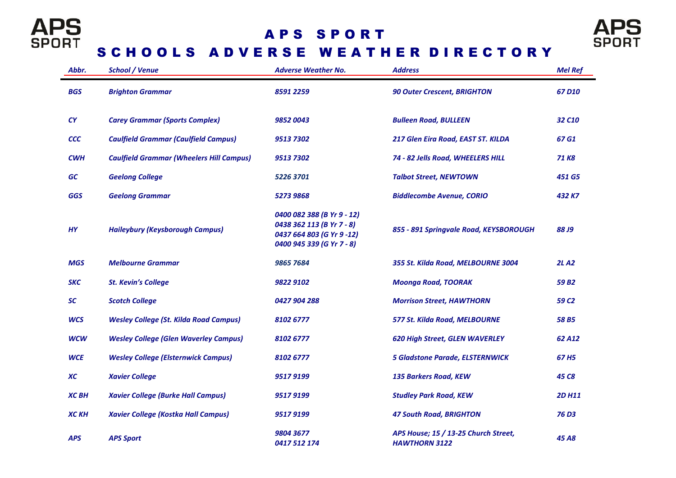

## A P S S P O R T



## SCHOOLS ADVERSE WEATHER DIRECTORY

| Abbr.        | <b>School / Venue</b>                           | <b>Adverse Weather No.</b>                                                                                        | <b>Address</b>                                               | <b>Mel Ref</b>     |
|--------------|-------------------------------------------------|-------------------------------------------------------------------------------------------------------------------|--------------------------------------------------------------|--------------------|
| <b>BGS</b>   | <b>Brighton Grammar</b>                         | 8591 2259                                                                                                         | <b>90 Outer Crescent, BRIGHTON</b>                           | 67 D <sub>10</sub> |
| CY           | <b>Carey Grammar (Sports Complex)</b>           | 98520043                                                                                                          | <b>Bulleen Road, BULLEEN</b>                                 | 32 C <sub>10</sub> |
| <b>CCC</b>   | <b>Caulfield Grammar (Caulfield Campus)</b>     | 95137302                                                                                                          | 217 Glen Eira Road, EAST ST. KILDA                           | 67 G1              |
| <b>CWH</b>   | <b>Caulfield Grammar (Wheelers Hill Campus)</b> | 95137302                                                                                                          | 74 - 82 Jells Road, WHEELERS HILL                            | 71 K <sub>8</sub>  |
| GC           | <b>Geelong College</b>                          | 5226 3701                                                                                                         | <b>Talbot Street, NEWTOWN</b>                                | 451 G5             |
| <b>GGS</b>   | <b>Geelong Grammar</b>                          | 5273 9868                                                                                                         | <b>Biddlecombe Avenue, CORIO</b>                             | 432 K7             |
| <b>HY</b>    | <b>Haileybury (Keysborough Campus)</b>          | 0400 082 388 (B Yr 9 - 12)<br>0438 362 113 (B Yr 7 - 8)<br>0437 664 803 (G Yr 9 -12)<br>0400 945 339 (G Yr 7 - 8) | 855 - 891 Springvale Road, KEYSBOROUGH                       | <b>88 J9</b>       |
| <b>MGS</b>   | <b>Melbourne Grammar</b>                        | 9865 7684                                                                                                         | 355 St. Kilda Road, MELBOURNE 3004                           | <b>2LA2</b>        |
| <b>SKC</b>   | <b>St. Kevin's College</b>                      | 9822 9102                                                                                                         | <b>Moonga Road, TOORAK</b>                                   | 59 B <sub>2</sub>  |
| SC           | <b>Scotch College</b>                           | 0427 904 288                                                                                                      | <b>Morrison Street, HAWTHORN</b>                             | 59 C <sub>2</sub>  |
| <b>WCS</b>   | <b>Wesley College (St. Kilda Road Campus)</b>   | 8102 6777                                                                                                         | 577 St. Kilda Road, MELBOURNE                                | 58 B5              |
| <b>WCW</b>   | <b>Wesley College (Glen Waverley Campus)</b>    | 8102 6777                                                                                                         | 620 High Street, GLEN WAVERLEY                               | 62 A12             |
| <b>WCE</b>   | <b>Wesley College (Elsternwick Campus)</b>      | 8102 6777                                                                                                         | <b>5 Gladstone Parade, ELSTERNWICK</b>                       | 67 H <sub>5</sub>  |
| <b>XC</b>    | <b>Xavier College</b>                           | 9517 9199                                                                                                         | <b>135 Barkers Road, KEW</b>                                 | 45 C <sub>8</sub>  |
| <b>XCBH</b>  | <b>Xavier College (Burke Hall Campus)</b>       | 9517 9199                                                                                                         | <b>Studley Park Road, KEW</b>                                | <b>2D H11</b>      |
| <b>XC KH</b> | <b>Xavier College (Kostka Hall Campus)</b>      | 95179199                                                                                                          | <b>47 South Road, BRIGHTON</b>                               | 76 D3              |
| <b>APS</b>   | <b>APS Sport</b>                                | 9804 3677<br>0417 512 174                                                                                         | APS House; 15 / 13-25 Church Street,<br><b>HAWTHORN 3122</b> | 45 A <sub>8</sub>  |